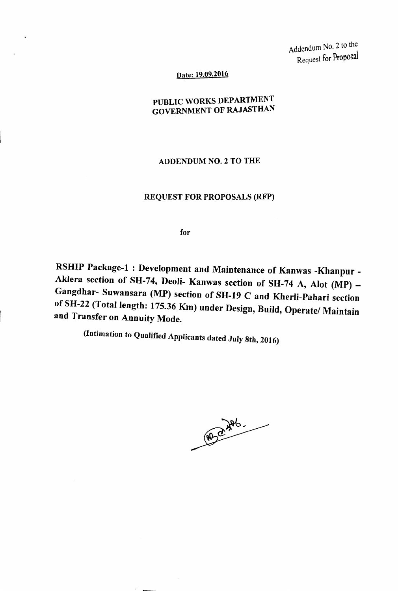Addendum No.2 to the Request for Proposal

Date: 19.09.2016

PUBLIC WORKS DEPARTMENT GOVERNMENT OF RAJASTHAN

ADDENDUM NO.2 TO THE

## REQUEST FOR PROPOSALS (RFP)

for

RSHIP Package-1: Development and Maintenance of Kanwas -Khanpur -Aklera section of SH-74, Deoli- Kanwas section of SH-74 A, Alot (MP) -Gangdhar- Suwansara (MP) section of SH-19 C and KherIi-Pahari section of SH-22 (Total length: 175.36 Km) under Design, Build, Operate/ Maintain and Transfer on Annuity Mode.

(Intimation to Qualified Applicants dated July *8th, 2016)*